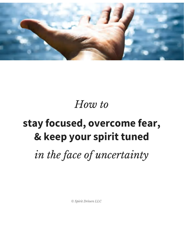

## *How to*

## **stay focused, overcome fear, & keep your spirit tuned**

*in the face of uncertainty*

*© Spirit Drivers LLC*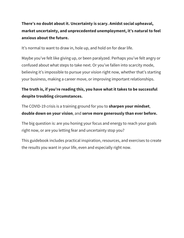**There's no doubt about it. Uncertainty is scary. Amidst social upheaval, market uncertainty, and unprecedented unemployment, it's natural to feel anxious about the future.**

It's normal to want to draw in, hole up, and hold on for dear life.

Maybe you've felt like giving up, or been paralyzed. Perhaps you've felt angry or confused about what steps to take next. Or you've fallen into scarcity mode, believing it's impossible to pursue your vision right now, whether that's starting your business, making a career move, or improving important relationships.

#### **The truth is, if you're reading this, you have what it takes to be successful despite troubling circumstances.**

The COVID-19 crisis is a training ground for you to **sharpen your mindset**, **double down on your vision**, and **serve more generously than ever before.**

The big question is: are you honing your focus and energy to reach your goals right now, or are you letting fear and uncertainty stop you?

This guidebook includes practical inspiration, resources, and exercises to create the results you want in your life, even and especially right now.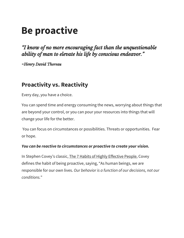## **Be proactive**

*"I know of no more encouraging fact than the unquestionable ability of man to elevate his life by conscious endeavor."*

*-Henry David Thoreau*

## **Proactivity vs. Reactivity**

Every day, you have a choice.

You can spend time and energy consuming the news, worrying about things that are beyond your control, or you can pour your resources into things that will change your life for the better.

You can focus on circumstances or possibilities. Threats or opportunities. Fear or hope.

#### *You can be reactive to circumstances or proactive to create your vision.*

In Stephen Covey's classic, The 7 Habits of Highly Effective People, Covey defines the habit of being proactive, saying, "As human beings, we are responsible for our own lives. *Our behavior is a function of our decisions, not our conditions.*"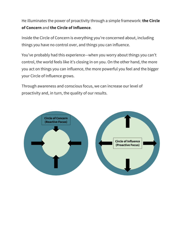He illuminates the power of proactivity through a simple framework: **the Circle of Concern** and **the Circle of Influence**.

Inside the Circle of Concern is everything you're concerned about, including things you have no control over, and things you can influence.

You've probably had this experience—when you worry about things you can't control, the world feels like it's closing in on you. On the other hand, the more you act on things you can influence, the more powerful you feel and the bigger your Circle of Influence grows.

Through awareness and conscious focus, we can increase our level of proactivity and, in turn, the quality of our results.

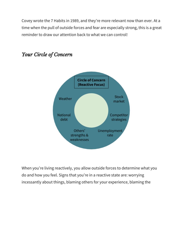Covey wrote the 7 Habits in 1989, and they're more relevant now than ever. At a time when the pull of outside forces and fear are especially strong, this is a great reminder to draw our attention back to what we can control!



### *Your Circle of Concern*

When you're living reactively, you allow outside forces to determine what you do and how you feel. Signs that you're in a reactive state are: worrying incessantly about things, blaming others for your experience, blaming the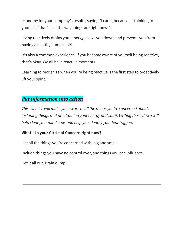economy for your company's results, saying "I can't, because..." thinking to yourself, "that's just the way things are right now."

Living reactively drains your energy, slows you down, and prevents you from having a healthy human spirit.

It's also a common experience. If you become aware of yourself being reactive, that's okay. We all have reactive moments!

Learning to recognize when you're being reactive is the first step to proactively lift your spirit.

#### *Put information into action*

*This exercise will make you aware of all the things you're concerned about, including things that are draining your energy and spirit. Writing these down will help clear your mind now, and help you identify your fear triggers.*

#### **What's in your Circle of Concern right now?**

List all the things you're concerned with, big and small.

Include things you have no control over, and things you can influence.

Get it all out. Brain dump.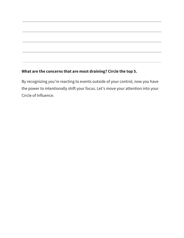#### **What are the concerns that are most draining? Circle the top 5.**

By recognizing you're reacting to events outside of your control, now you have the power to intentionally shift your focus. Let's move your attention into your Circle of Influence.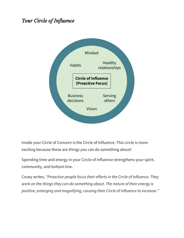### *Your Circle of Influence*



Inside your Circle of Concern is the Circle of Influence. This circle is more exciting because these are things you can do something about!

Spending time and energy in your Circle of Influence strengthens your spirit, community, and bottom line.

Covey writes, *"Proactive people focus their efforts in the Circle of Influence. They work on the things they can do something about. The nature of their energy is positive, enlarging and magnifying, causing their Circle of Influence to increase."*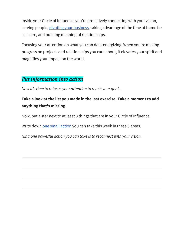Inside your Circle of Influence, you're proactively connecting with your vision, serving people, pivoting your [business,](https://blog.hubspot.com/marketing/how-companies-are-pivoting-due-to-covid-19) taking advantage of the time at home for self care, and building meaningful relationships.

Focusing your attention on what you can do is energizing. When you're making progress on projects and relationships you care about, it elevates your spirit and magnifies your impact on the world.

#### *Put information into action*

*Now it's time to refocus your attention to reach your goals.*

#### **Take a look at the list you made in the last exercise. Take a moment to add anything that's missing.**

Now, put a star next to at least 3 things that are in your Circle of Influence.

Write down one small [action](https://www.youtube.com/watch?v=VHkOFs67d9A) you can take this week in these 3 areas.

*Hint: one powerful action you can take is to reconnect with your vision.*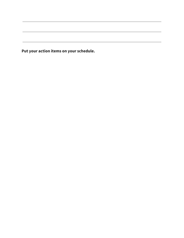**Put your action items on your schedule.**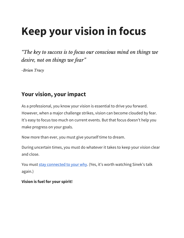# **Keep your vision in focus**

*"The key to success is to focus our conscious mind on things we desire, not on things we fear "*

*-Brian Tracy*

## **Your vision, your impact**

As a professional, you know your vision is essential to drive you forward. However, when a major challenge strikes, vision can become clouded by fear. It's easy to focus too much on current events. But that focus doesn't help you make progress on your goals.

Now more than ever, you must give yourself time to dream.

During uncertain times, you must do whatever it takes to keep your vision clear and close.

You must stay [connected](https://www.youtube.com/watch?v=IPYeCltXpxw) to your why. (Yes, it's worth watching Sinek's talk again.)

**Vision is fuel for your spirit!**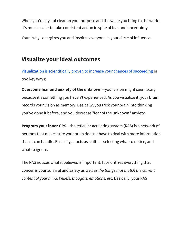When you're crystal clear on your purpose and the value you bring to the world, it's much easier to take consistent action in spite of fear and uncertainty.

Your "why" energizes you and inspires everyone in your circle of influence.

## **Visualize your ideal outcomes**

[Visualization](https://nlpca.com/creating-an-optimal-future-for-yourself/) is scientifically proven to increase your chances of succeeding in two key ways:

**Overcome fear and anxiety of the unknown**—your vision might seem scary because it's something you haven't experienced. As you visualize it, your brain records your vision as memory. Basically, you trick your brain into thinking you've done it before, and you decrease "fear of the unknown" anxiety.

**Program your inner GPS**—the reticular activating system (RAS) is a network of neurons that makes sure your brain doesn't have to deal with more information than it can handle. Basically, it acts as a filter—selecting what to notice, and what to ignore.

The RAS notices what it believes is important. It prioritizes everything that concerns your survival and safety as well as *the things that match the current content of your mind: beliefs, thoughts, emotions, etc.* Basically, your RAS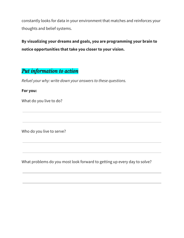constantly looks for data in your environment that matches and reinforces your thoughts and belief systems.

### **By visualizing your dreams and goals, you are programming your brain to notice opportunities that take you closer to your vision.**

## *Put information to action*

*Refuel your why: write down your answers to these questions.*

#### **For you:**

What do you live to do?

Who do you live to serve?

What problems do you most look forward to getting up every day to solve?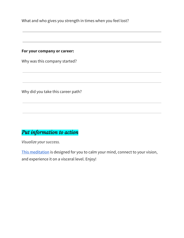What and who gives you strength in times when you feel lost?

#### **For your company or career:**

Why was this company started?

Why did you take this career path?

## *Put information to action*

*Visualize your success.*

This [meditation](https://youtu.be/lHnWXlHxMHs) is designed for you to calm your mind, connect to your vision, and experience it on a visceral level. Enjoy!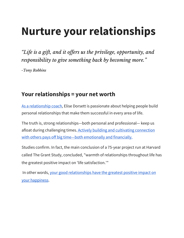# **Nurture your relationships**

*"Life is a gift, and it of ers us the privilege, opportunity, and responsibility to give something back by becoming more."*

*-Tony Robbins*

## **Your relationships = your net worth**

As a [relationship](https://www.spiritdrivers.com/) coach, Elise Dorsett is passionate about helping people build personal relationships that make them successful in every area of life.

The truth is, strong relationships—both personal and professional— keep us afloat during challenging times. Actively building and cultivating [connection](https://www.huffpost.com/entry/why-your-network-is-your-_b_3375954) with others pays off big time—both [emotionally](https://www.huffpost.com/entry/why-your-network-is-your-_b_3375954) and financially.

Studies confirm. In fact, the main conclusion of a 75-year project run at Harvard called The Grant Study, concluded, "warmth of relationships throughout life has the greatest positive impact on 'life satisfaction.'"

In other words, your good [relationships](https://elisedorsett.teachable.com/blog/208271/happinesspractice) have the greatest positive impact on your [happiness](https://elisedorsett.teachable.com/blog/208271/happinesspractice).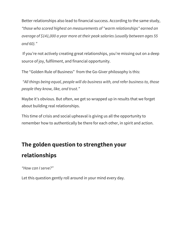Better relationships also lead to financial success. According to the same study, *"those who scored highest on measurements of "warm relationships" earned an average of \$141,000 a year more at their peak salaries (usually between ages 55 and 60)."*

If you're not actively creating great relationships, you're missing out on a deep source of joy, fulfilment, and financial opportunity.

The "Golden Rule of Business" from the Go-Giver philosophy is this:

*"All things being equal, people will do business with, and refer business to, those people they know, like, and trust."*

Maybe it's obvious. But often, we get so wrapped up in results that we forget about building real relationships.

This time of crisis and social upheaval is giving us all the opportunity to remember how to authentically be there for each other, in spirit and action.

## **The golden question to strengthen your relationships**

*"How can I serve?"*

Let this question gently roll around in your mind every day.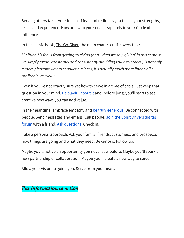Serving others takes your focus off fear and redirects you to use your strengths, skills, and experience. How and who you serve is squarely in your Circle of Influence.

In the classic book, The Go-Giver, the main character discovers that:

*"Shifting his focus from getting to giving (and, when we say 'giving' in this context we simply mean 'constantly and consistently providing value to others') is not only a more pleasant way to conduct business, it's actually much more financially profitable, as well."*

Even if you're not exactly sure yet how to serve in a time of crisis, just keep that question in your mind. Be [playful](https://www.samuelthomasdavies.com/the-kaizen-way/) about it and, before long, you'll start to see creative new ways you can add value.

In the meantime, embrace empathy and be truly [generous](https://thegogiver.com/movement/). Be connected with people. Send messages and emails. Call people. Join the Spirit [Drivers](https://www.spiritdrivers.com/) digital [forum](https://www.spiritdrivers.com/) with a friend. Ask [questions.](https://burg.com/10-feel-good-questions/) Check in.

Take a personal approach. Ask your family, friends, customers, and prospects how things are going and what they need. Be curious. Follow up.

Maybe you'll notice an opportunity you never saw before. Maybe you'll spark a new partnership or collaboration. Maybe you'll create a new way to serve.

Allow your vision to guide you. Serve from your heart.

### *Put information to action*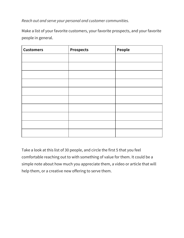*Reach out and serve your personal and customer communities.*

Make a list of your favorite customers, your favorite prospects, and your favorite people in general.

| <b>Customers</b> | <b>Prospects</b> | People |
|------------------|------------------|--------|
|                  |                  |        |
|                  |                  |        |
|                  |                  |        |
|                  |                  |        |
|                  |                  |        |
|                  |                  |        |
|                  |                  |        |
|                  |                  |        |
|                  |                  |        |
|                  |                  |        |

Take a look at this list of 30 people, and circle the first 5 that you feel comfortable reaching out to with something of value for them. It could be a simple note about how much you appreciate them, a video or article that will help them, or a creative new offering to serve them.